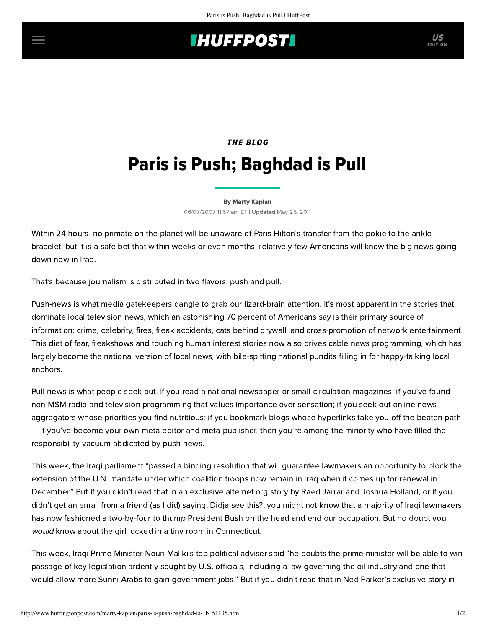## **INUFFPOSTI** US

## THE BLOG Paris is Push; Baghdad is Pull

[By Marty Kaplan](http://www.huffingtonpost.com/author/marty-kaplan) 06/07/2007 11:57 am ET | Updated May 25, 2011

Within 24 hours, no primate on the planet will be unaware of Paris Hilton's transfer from the pokie to the ankle bracelet, but it is a safe bet that within weeks or even months, relatively few Americans will know the big news going down now in Iraq.

That's because journalism is distributed in two flavors: push and pull.

Push-news is what media gatekeepers dangle to grab our lizard-brain attention. It's most apparent in the stories that dominate local television news, which an astonishing 70 percent of Americans say is their primary source of information: crime, celebrity, fires, freak accidents, cats behind drywall, and cross-promotion of network entertainment. This diet of fear, freakshows and touching human interest stories now also drives cable news programming, which has largely become the national version of local news, with bile-spitting national pundits filling in for happy-talking local anchors.

Pull-news is what people seek out. If you read a national newspaper or small-circulation magazines; if you've found non-MSM radio and television programming that values importance over sensation; if you seek out online news aggregators whose priorities you find nutritious; if you bookmark blogs whose hyperlinks take you off the beaten path — if you've become your own meta-editor and meta-publisher, then you're among the minority who have filled the responsibility-vacuum abdicated by push-news.

This week, the Iraqi parliament "passed a binding resolution that will guarantee lawmakers an opportunity to block the extension of the U.N. mandate under which coalition troops now remain in Iraq when it comes up for renewal in December." But if you didn't read that in [an exclusive alternet.org story by Raed Jarrar and Joshua Holland,](http://www.alternet.org/story/53230/) or if you didn't get an email from a friend (as I did) saying, Didja see this?, you might not know that a majority of Iraqi lawmakers has now fashioned a two-by-four to thump President Bush on the head and end our occupation. But no doubt you would know about the girl locked in a tiny room in Connecticut.

This week, Iraqi Prime Minister Nouri Maliki's top political adviser said "he doubts the prime minister will be able to win passage of key legislation ardently sought by U.S. officials, including a law governing the oil industry and one that would allow more Sunni Arabs to gain government jobs." [But if you didn't read that in Ned Parker's exclusive story in](http://www.latimes.com/news/nationworld/world/la-fg-maliki6jun06,1,2859834.story)